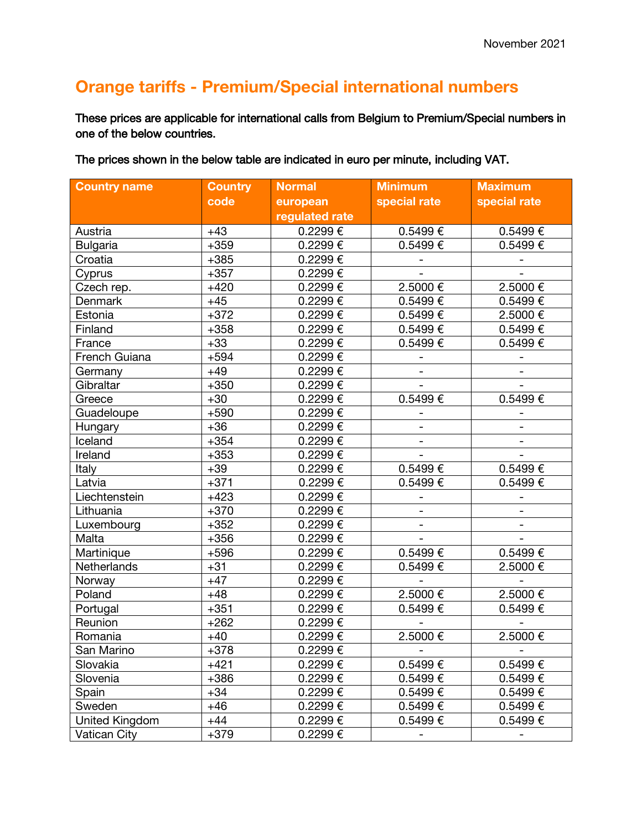## **Orange tariffs - Premium/Special international numbers**

These prices are applicable for international calls from Belgium to Premium/Special numbers in one of the below countries.

The prices shown in the below table are indicated in euro per minute, including VAT.

| <b>Country name</b> | <b>Country</b> | <b>Normal</b>  | <b>Minimum</b>           | <b>Maximum</b>           |
|---------------------|----------------|----------------|--------------------------|--------------------------|
|                     | code           | european       | special rate             | special rate             |
|                     |                | regulated rate |                          |                          |
| Austria             | $+43$          | 0.2299€        | $0.5499 \in$             | 0.5499€                  |
| <b>Bulgaria</b>     | $+359$         | 0.2299€        | 0.5499€                  | 0.5499€                  |
| Croatia             | $+385$         | 0.2299€        | $\overline{\phantom{0}}$ |                          |
| Cyprus              | $+357$         | 0.2299€        |                          |                          |
| Czech rep.          | $+420$         | 0.2299€        | 2.5000€                  | 2.5000€                  |
| Denmark             | $+45$          | 0.2299€        | 0.5499€                  | 0.5499€                  |
| Estonia             | $+372$         | 0.2299€        | 0.5499€                  | 2.5000€                  |
| Finland             | $+358$         | 0.2299€        | 0.5499€                  | 0.5499€                  |
| France              | $+33$          | 0.2299€        | 0.5499€                  | 0.5499€                  |
| French Guiana       | $+594$         | 0.2299€        | $\overline{\phantom{a}}$ | $\qquad \qquad -$        |
| Germany             | $+49$          | 0.2299€        |                          |                          |
| Gibraltar           | $+350$         | 0.2299€        |                          | $\overline{a}$           |
| Greece              | $+30$          | 0.2299€        | 0.5499€                  | 0.5499€                  |
| Guadeloupe          | $+590$         | 0.2299€        | $\qquad \qquad -$        | $\overline{\phantom{0}}$ |
| Hungary             | $+36$          | 0.2299€        |                          |                          |
| Iceland             | $+354$         | 0.2299€        |                          |                          |
| Ireland             | $+353$         | 0.2299€        | $\overline{a}$           | $\overline{\phantom{0}}$ |
| Italy               | $+39$          | 0.2299€        | 0.5499€                  | 0.5499€                  |
| Latvia              | $+371$         | 0.2299€        | 0.5499€                  | 0.5499€                  |
| Liechtenstein       | $+423$         | 0.2299€        |                          |                          |
| Lithuania           | $+370$         | 0.2299€        |                          |                          |
| Luxembourg          | $+352$         | 0.2299€        | $\overline{\phantom{0}}$ | $\overline{\phantom{a}}$ |
| Malta               | $+356$         | 0.2299€        | $\overline{\phantom{a}}$ |                          |
| Martinique          | $+596$         | 0.2299€        | $0.5499 \in$             | $0.5499 \in$             |
| Netherlands         | $+31$          | 0.2299€        | 0.5499€                  | 2.5000€                  |
| Norway              | $+47$          | 0.2299€        | $\overline{\phantom{0}}$ | $\qquad \qquad -$        |
| Poland              | $+48$          | 0.2299€        | 2.5000€                  | 2.5000€                  |
| Portugal            | $+351$         | 0.2299€        | 0.5499€                  | 0.5499€                  |
| Reunion             | $+262$         | 0.2299€        |                          |                          |
| Romania             | $+40$          | 0.2299€        | 2.5000€                  | 2.5000€                  |
| San Marino          | $+378$         | 0.2299E        |                          |                          |
| Slovakia            | $+421$         | $0.2299 \in$   | $0.5499 \in$             | $0.5499 \in$             |
| Slovenia            | $+386$         | $0.2299 \in$   | $0.5499 \in$             | 0.5499€                  |
| Spain               | $+34$          | $0.2299 \in$   | $0.5499 \in$             | 0.5499€                  |
| Sweden              | $+46$          | $0.2299 \in$   | $0.5499 \in$             | 0.5499€                  |
| United Kingdom      | $+44$          | 0.2299€        | $0.5499 \in$             | 0.5499€                  |
| <b>Vatican City</b> | $+379$         | 0.2299€        | $\overline{\phantom{0}}$ |                          |